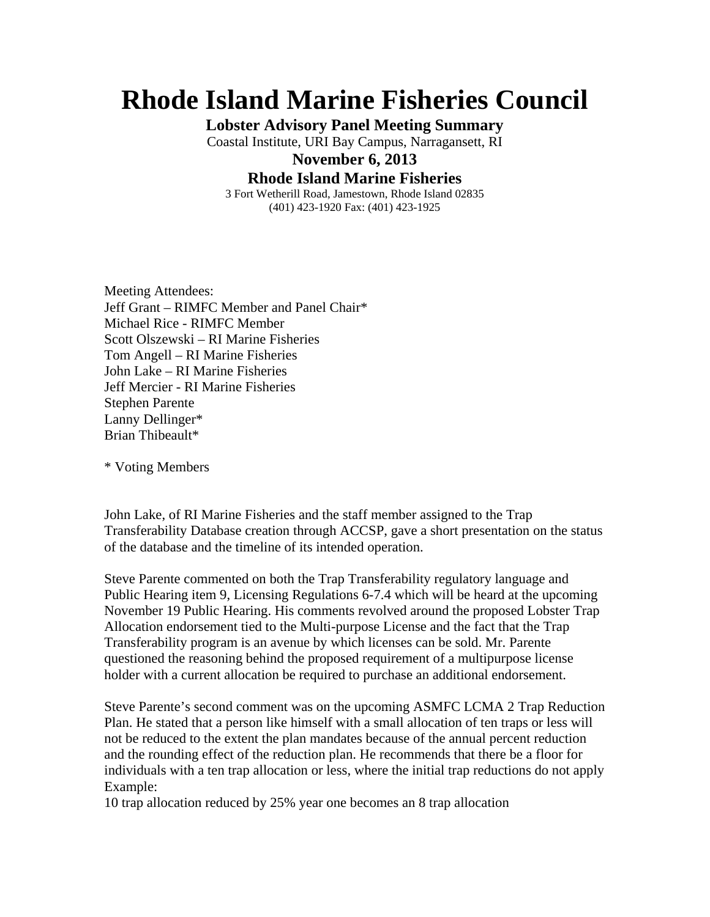## **Rhode Island Marine Fisheries Council**

**Lobster Advisory Panel Meeting Summary** 

Coastal Institute, URI Bay Campus, Narragansett, RI

**November 6, 2013** 

**Rhode Island Marine Fisheries** 

3 Fort Wetherill Road, Jamestown, Rhode Island 02835 (401) 423-1920 Fax: (401) 423-1925

Meeting Attendees: Jeff Grant – RIMFC Member and Panel Chair\* Michael Rice - RIMFC Member Scott Olszewski – RI Marine Fisheries Tom Angell – RI Marine Fisheries John Lake – RI Marine Fisheries Jeff Mercier - RI Marine Fisheries Stephen Parente Lanny Dellinger\* Brian Thibeault\*

\* Voting Members

John Lake, of RI Marine Fisheries and the staff member assigned to the Trap Transferability Database creation through ACCSP, gave a short presentation on the status of the database and the timeline of its intended operation.

Steve Parente commented on both the Trap Transferability regulatory language and Public Hearing item 9, Licensing Regulations 6-7.4 which will be heard at the upcoming November 19 Public Hearing. His comments revolved around the proposed Lobster Trap Allocation endorsement tied to the Multi-purpose License and the fact that the Trap Transferability program is an avenue by which licenses can be sold. Mr. Parente questioned the reasoning behind the proposed requirement of a multipurpose license holder with a current allocation be required to purchase an additional endorsement.

Steve Parente's second comment was on the upcoming ASMFC LCMA 2 Trap Reduction Plan. He stated that a person like himself with a small allocation of ten traps or less will not be reduced to the extent the plan mandates because of the annual percent reduction and the rounding effect of the reduction plan. He recommends that there be a floor for individuals with a ten trap allocation or less, where the initial trap reductions do not apply Example:

10 trap allocation reduced by 25% year one becomes an 8 trap allocation